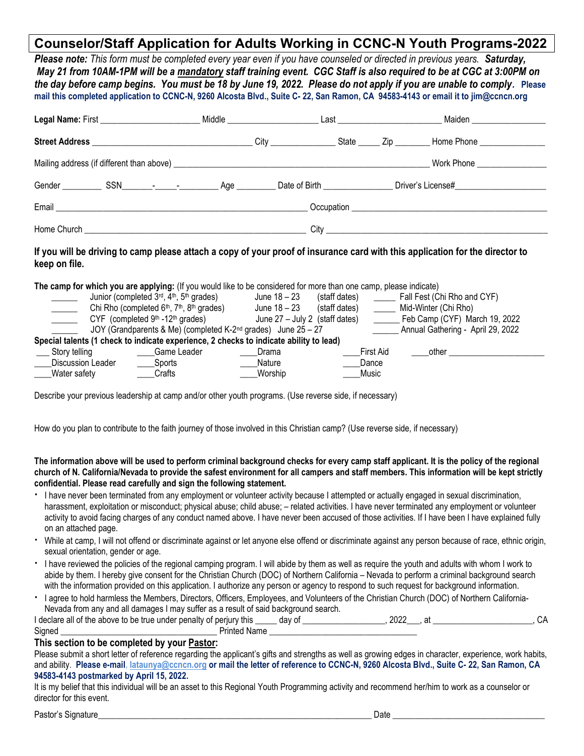# Counselor/Staff Application for Adults Working in CCNC-N Youth Programs-2022

Please note: This form must be completed every year even if you have counseled or directed in previous years. Saturday, May 21 from 10AM-1PM will be a mandatory staff training event. CGC Staff is also required to be at CGC at 3:00PM on the day before camp begins. You must be 18 by June 19, 2022. Please do not apply if you are unable to comply. Please mail this completed application to CCNC-N, 9260 Alcosta Blvd., Suite C- 22, San Ramon, CA 94583-4143 or email it to jim@ccncn.org

| Middle | Maiden ___________________<br>Last ______________________________ |
|--------|-------------------------------------------------------------------|
|        | Home Phone <u>_______________</u><br>State $\qquad 2ip$           |
|        | Work Phone ________________                                       |
|        |                                                                   |
|        |                                                                   |
|        |                                                                   |

#### If you will be driving to camp please attach a copy of your proof of insurance card with this application for the director to keep on file.

|                   | The camp for which you are applying: (If you would like to be considered for more than one camp, please indicate) |                                  |               |                                   |
|-------------------|-------------------------------------------------------------------------------------------------------------------|----------------------------------|---------------|-----------------------------------|
|                   | Junior (completed 3 <sup>rd</sup> , 4 <sup>th</sup> , 5 <sup>th</sup> grades)                                     | June 18 – 23                     | (staff dates) | Fall Fest (Chi Rho and CYF)       |
|                   | Chi Rho (completed 6 <sup>th</sup> , 7 <sup>th</sup> , 8 <sup>th</sup> grades)                                    | June 18 – 23                     | (staff dates) | Mid-Winter (Chi Rho)              |
|                   | CYF (completed $9th -12th$ grades)                                                                                | June $27 -$ July 2 (staff dates) |               | Eeb Camp (CYF) March 19, 2022     |
|                   | JOY (Grandparents & Me) (completed K-2 <sup>nd</sup> grades) June 25 - 27                                         |                                  |               | Annual Gathering - April 29, 2022 |
|                   | Special talents (1 check to indicate experience, 2 checks to indicate ability to lead)                            |                                  |               |                                   |
| Story telling     | Game Leader                                                                                                       | Drama                            | First Aid     | other                             |
| Discussion Leader | Sports                                                                                                            | Nature                           | Dance         |                                   |
| Water safety      | Crafts                                                                                                            | Worship                          | Music         |                                   |

Describe your previous leadership at camp and/or other youth programs. (Use reverse side, if necessary)

How do you plan to contribute to the faith journey of those involved in this Christian camp? (Use reverse side, if necessary)

#### The information above will be used to perform criminal background checks for every camp staff applicant. It is the policy of the regional church of N. California/Nevada to provide the safest environment for all campers and staff members. This information will be kept strictly confidential. Please read carefully and sign the following statement.

- " I have never been terminated from any employment or volunteer activity because I attempted or actually engaged in sexual discrimination, harassment, exploitation or misconduct; physical abuse; child abuse; – related activities. I have never terminated any employment or volunteer activity to avoid facing charges of any conduct named above. I have never been accused of those activities. If I have been I have explained fully on an attached page.
- While at camp, I will not offend or discriminate against or let anyone else offend or discriminate against any person because of race, ethnic origin, sexual orientation, gender or age.
- I have reviewed the policies of the regional camping program. I will abide by them as well as require the youth and adults with whom I work to abide by them. I hereby give consent for the Christian Church (DOC) of Northern California – Nevada to perform a criminal background search with the information provided on this application. I authorize any person or agency to respond to such request for background information.
- I agree to hold harmless the Members, Directors, Officers, Employees, and Volunteers of the Christian Church (DOC) of Northern California-Nevada from any and all damages I may suffer as a result of said background search.

| I declare all of the above to be true under penalty<br>' OT | $\cdots$<br>dav oʻ<br>, periurv<br>' this | anno<br>LULL |  |
|-------------------------------------------------------------|-------------------------------------------|--------------|--|
| Signed                                                      | Name<br>Printer'                          |              |  |

#### This section to be completed by your Pastor:

Please submit a short letter of reference regarding the applicant's gifts and strengths as well as growing edges in character, experience, work habits, and ability. Please e-mail, lataunya@ccncn.org or mail the letter of reference to CCNC-N, 9260 Alcosta Blvd., Suite C- 22, San Ramon, CA 94583-4143 postmarked by April 15, 2022.

It is my belief that this individual will be an asset to this Regional Youth Programming activity and recommend her/him to work as a counselor or director for this event.

Pastor's Signature\_\_\_\_\_\_\_\_\_\_\_\_\_\_\_\_\_\_\_\_\_\_\_\_\_\_\_\_\_\_\_\_\_\_\_\_\_\_\_\_\_\_\_\_\_\_\_\_\_\_\_\_\_\_\_\_\_\_\_\_\_\_\_ Date \_\_\_\_\_\_\_\_\_\_\_\_\_\_\_\_\_\_\_\_\_\_\_\_\_\_\_\_\_\_\_\_\_\_\_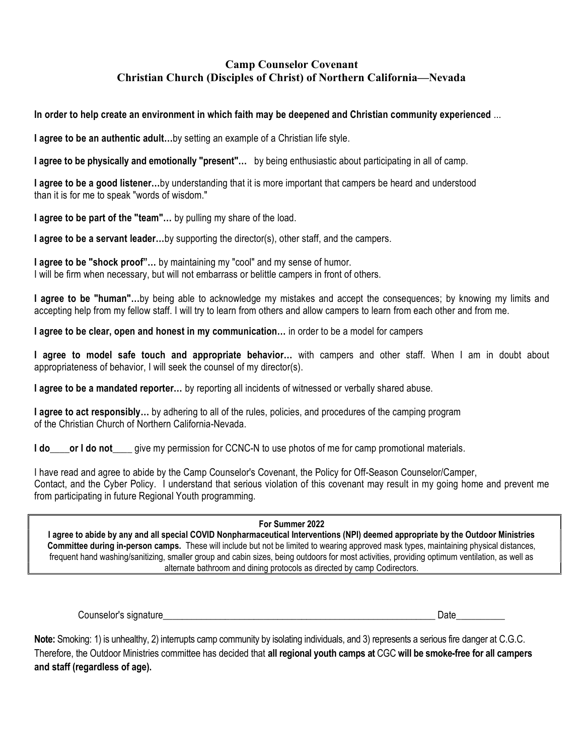### Camp Counselor Covenant Christian Church (Disciples of Christ) of Northern California—Nevada

In order to help create an environment in which faith may be deepened and Christian community experienced ...

I agree to be an authentic adult...by setting an example of a Christian life style.

I agree to be physically and emotionally "present"... by being enthusiastic about participating in all of camp.

I agree to be a good listener…by understanding that it is more important that campers be heard and understood than it is for me to speak "words of wisdom."

I agree to be part of the "team"... by pulling my share of the load.

I agree to be a servant leader…by supporting the director(s), other staff, and the campers.

I agree to be "shock proof"... by maintaining my "cool" and my sense of humor. I will be firm when necessary, but will not embarrass or belittle campers in front of others.

I agree to be "human"...by being able to acknowledge my mistakes and accept the consequences; by knowing my limits and accepting help from my fellow staff. I will try to learn from others and allow campers to learn from each other and from me.

I agree to be clear, open and honest in my communication… in order to be a model for campers

I agree to model safe touch and appropriate behavior… with campers and other staff. When I am in doubt about appropriateness of behavior, I will seek the counsel of my director(s).

I agree to be a mandated reporter... by reporting all incidents of witnessed or verbally shared abuse.

I agree to act responsibly... by adhering to all of the rules, policies, and procedures of the camping program of the Christian Church of Northern California-Nevada.

I do \_\_\_\_or I do not \_\_\_\_ give my permission for CCNC-N to use photos of me for camp promotional materials.

I have read and agree to abide by the Camp Counselor's Covenant, the Policy for Off-Season Counselor/Camper, Contact, and the Cyber Policy. I understand that serious violation of this covenant may result in my going home and prevent me from participating in future Regional Youth programming.

#### For Summer 2022

I agree to abide by any and all special COVID Nonpharmaceutical Interventions (NPI) deemed appropriate by the Outdoor Ministries Committee during in-person camps. These will include but not be limited to wearing approved mask types, maintaining physical distances, frequent hand washing/sanitizing, smaller group and cabin sizes, being outdoors for most activities, providing optimum ventilation, as well as alternate bathroom and dining protocols as directed by camp Codirectors.

Counselor's signature example of the state of the state of the state of the state of the state of the state of the state of the state of the state of the state of the state of the state of the state of the state of the sta

Note: Smoking: 1) is unhealthy, 2) interrupts camp community by isolating individuals, and 3) represents a serious fire danger at C.G.C. Therefore, the Outdoor Ministries committee has decided that all regional youth camps at CGC will be smoke-free for all campers and staff (regardless of age).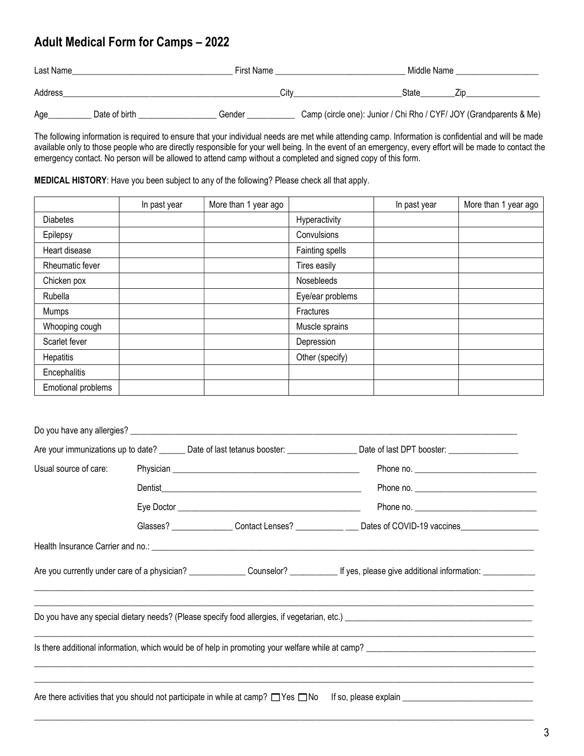# Adult Medical Form for Camps – 2022

| Last Name | First Name    |        |                                                                    | Middle Name |  |
|-----------|---------------|--------|--------------------------------------------------------------------|-------------|--|
| Address   |               | Citv   |                                                                    | State       |  |
| Age       | Date of birth | Gender | Camp (circle one): Junior / Chi Rho / CYF/ JOY (Grandparents & Me) |             |  |

The following information is required to ensure that your individual needs are met while attending camp. Information is confidential and will be made available only to those people who are directly responsible for your well being. In the event of an emergency, every effort will be made to contact the emergency contact. No person will be allowed to attend camp without a completed and signed copy of this form.

#### MEDICAL HISTORY: Have you been subject to any of the following? Please check all that apply.

|                    | In past year | More than 1 year ago |                  | In past year | More than 1 year ago |
|--------------------|--------------|----------------------|------------------|--------------|----------------------|
| <b>Diabetes</b>    |              |                      | Hyperactivity    |              |                      |
| Epilepsy           |              |                      | Convulsions      |              |                      |
| Heart disease      |              |                      | Fainting spells  |              |                      |
| Rheumatic fever    |              |                      | Tires easily     |              |                      |
| Chicken pox        |              |                      | Nosebleeds       |              |                      |
| Rubella            |              |                      | Eye/ear problems |              |                      |
| Mumps              |              |                      | Fractures        |              |                      |
| Whooping cough     |              |                      | Muscle sprains   |              |                      |
| Scarlet fever      |              |                      | Depression       |              |                      |
| Hepatitis          |              |                      | Other (specify)  |              |                      |
| Encephalitis       |              |                      |                  |              |                      |
| Emotional problems |              |                      |                  |              |                      |

|                       |  |                                                                                             | Are your immunizations up to date? ________ Date of last tetanus booster: ___________________ Date of last DPT booster: _______________                    |
|-----------------------|--|---------------------------------------------------------------------------------------------|------------------------------------------------------------------------------------------------------------------------------------------------------------|
| Usual source of care: |  |                                                                                             |                                                                                                                                                            |
|                       |  |                                                                                             |                                                                                                                                                            |
|                       |  |                                                                                             |                                                                                                                                                            |
|                       |  |                                                                                             | Glasses? ________________Contact Lenses? _________________Dates of COVID-19 vaccines________________                                                       |
|                       |  |                                                                                             |                                                                                                                                                            |
|                       |  |                                                                                             | Are you currently under care of a physician? _________________ Counselor? ______________ If yes, please give additional information: _____________________ |
|                       |  |                                                                                             |                                                                                                                                                            |
|                       |  |                                                                                             |                                                                                                                                                            |
|                       |  | Are there activities that you should not participate in while at camp? $\Box$ Yes $\Box$ No |                                                                                                                                                            |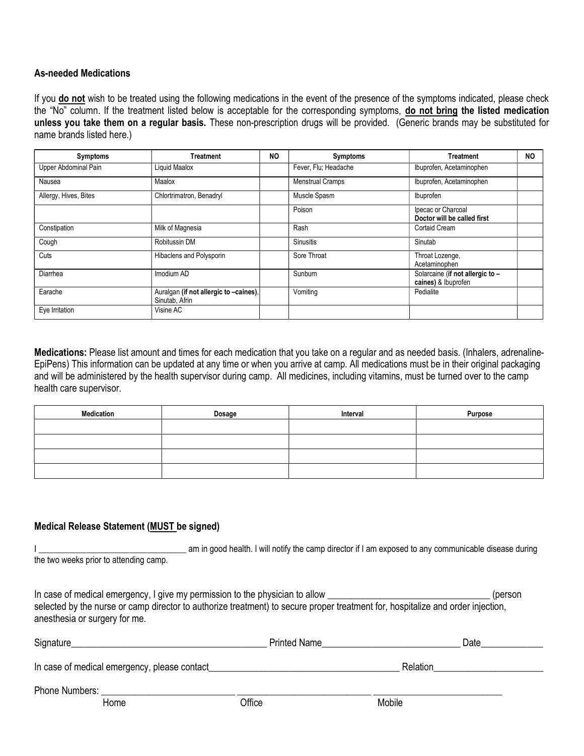#### As-needed Medications

If you do not wish to be treated using the following medications in the event of the presence of the symptoms indicated, please check the "No" column. If the treatment listed below is acceptable for the corresponding symptoms, do not bring the listed medication unless you take them on a regular basis. These non-prescription drugs will be provided. (Generic brands may be substituted for name brands listed here.)

| <b>Symptoms</b>       | Treatment                                                | <b>NO</b> | <b>Symptoms</b>         | <b>Treatment</b>                                        | <b>NO</b> |
|-----------------------|----------------------------------------------------------|-----------|-------------------------|---------------------------------------------------------|-----------|
| Upper Abdominal Pain  | Liquid Maalox                                            |           | Fever, Flu; Headache    | Ibuprofen, Acetaminophen                                |           |
| Nausea                | Maalox                                                   |           | <b>Menstrual Cramps</b> | Ibuprofen, Acetaminophen                                |           |
| Allergy, Hives, Bites | Chlortrimatron, Benadryl                                 |           | Muscle Spasm            | Ibuprofen                                               |           |
|                       |                                                          |           | Poison                  | Ipecac or Charcoal<br>Doctor will be called first       |           |
| Constipation          | Milk of Magnesia                                         |           | Rash                    | <b>Cortaid Cream</b>                                    |           |
| Cough                 | Robitussin DM                                            |           | <b>Sinusitis</b>        | Sinutab                                                 |           |
| Cuts                  | Hibaclens and Polysporin                                 |           | Sore Throat             | Throat Lozenge,<br>Acetaminophen                        |           |
| Diarrhea              | Imodium AD                                               |           | Sunburn                 | Solarcaine (if not allergic to -<br>caines) & Ibuprofen |           |
| Earache               | Auralgan (if not allergic to -caines),<br>Sinutab, Afrin |           | Vomiting                | Pedialite                                               |           |
| Eye Irritation        | Visine AC                                                |           |                         |                                                         |           |

Medications: Please list amount and times for each medication that you take on a regular and as needed basis. (Inhalers, adrenaline-EpiPens) This information can be updated at any time or when you arrive at camp. All medications must be in their original packaging and will be administered by the health supervisor during camp. All medicines, including vitamins, must be turned over to the camp health care supervisor.

| Medication | Dosage | Interval | Purpose |
|------------|--------|----------|---------|
|            |        |          |         |
|            |        |          |         |
|            |        |          |         |
|            |        |          |         |

#### Medical Release Statement (MUST be signed)

I came in good health. I will notify the camp director if I am exposed to any communicable disease during the two weeks prior to attending camp.

In case of medical emergency, I give my permission to the physician to allow \_\_\_\_\_\_\_\_\_\_\_\_\_\_\_\_\_\_\_\_\_\_\_\_\_\_\_\_\_\_\_\_\_\_ (person selected by the nurse or camp director to authorize treatment) to secure proper treatment for, hospitalize and order injection, anesthesia or surgery for me.

| Signature                                     |      | <b>Printed Name</b> |          | Date |
|-----------------------------------------------|------|---------------------|----------|------|
| In case of medical emergency, please contact_ |      |                     | Relation |      |
| <b>Phone Numbers:</b>                         | Home | Office              | Mobile   |      |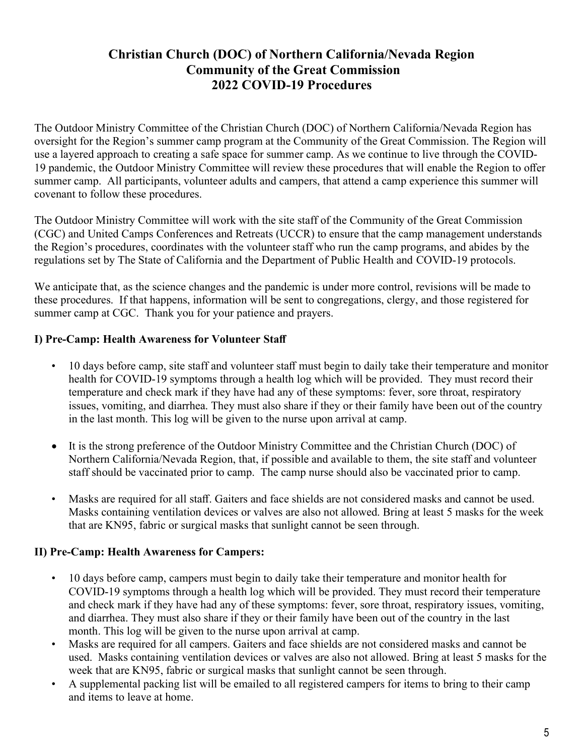# Christian Church (DOC) of Northern California/Nevada Region Community of the Great Commission 2022 COVID-19 Procedures

The Outdoor Ministry Committee of the Christian Church (DOC) of Northern California/Nevada Region has oversight for the Region's summer camp program at the Community of the Great Commission. The Region will use a layered approach to creating a safe space for summer camp. As we continue to live through the COVID-19 pandemic, the Outdoor Ministry Committee will review these procedures that will enable the Region to offer summer camp. All participants, volunteer adults and campers, that attend a camp experience this summer will covenant to follow these procedures.

The Outdoor Ministry Committee will work with the site staff of the Community of the Great Commission (CGC) and United Camps Conferences and Retreats (UCCR) to ensure that the camp management understands the Region's procedures, coordinates with the volunteer staff who run the camp programs, and abides by the regulations set by The State of California and the Department of Public Health and COVID-19 protocols.

We anticipate that, as the science changes and the pandemic is under more control, revisions will be made to these procedures. If that happens, information will be sent to congregations, clergy, and those registered for summer camp at CGC. Thank you for your patience and prayers.

### I) Pre-Camp: Health Awareness for Volunteer Staff

- 10 days before camp, site staff and volunteer staff must begin to daily take their temperature and monitor health for COVID-19 symptoms through a health log which will be provided. They must record their temperature and check mark if they have had any of these symptoms: fever, sore throat, respiratory issues, vomiting, and diarrhea. They must also share if they or their family have been out of the country in the last month. This log will be given to the nurse upon arrival at camp.
- It is the strong preference of the Outdoor Ministry Committee and the Christian Church (DOC) of Northern California/Nevada Region, that, if possible and available to them, the site staff and volunteer staff should be vaccinated prior to camp. The camp nurse should also be vaccinated prior to camp.
- Masks are required for all staff. Gaiters and face shields are not considered masks and cannot be used. Masks containing ventilation devices or valves are also not allowed. Bring at least 5 masks for the week that are KN95, fabric or surgical masks that sunlight cannot be seen through.

### II) Pre-Camp: Health Awareness for Campers:

- 10 days before camp, campers must begin to daily take their temperature and monitor health for COVID-19 symptoms through a health log which will be provided. They must record their temperature and check mark if they have had any of these symptoms: fever, sore throat, respiratory issues, vomiting, and diarrhea. They must also share if they or their family have been out of the country in the last month. This log will be given to the nurse upon arrival at camp.
- Masks are required for all campers. Gaiters and face shields are not considered masks and cannot be used. Masks containing ventilation devices or valves are also not allowed. Bring at least 5 masks for the week that are KN95, fabric or surgical masks that sunlight cannot be seen through.
- A supplemental packing list will be emailed to all registered campers for items to bring to their camp and items to leave at home.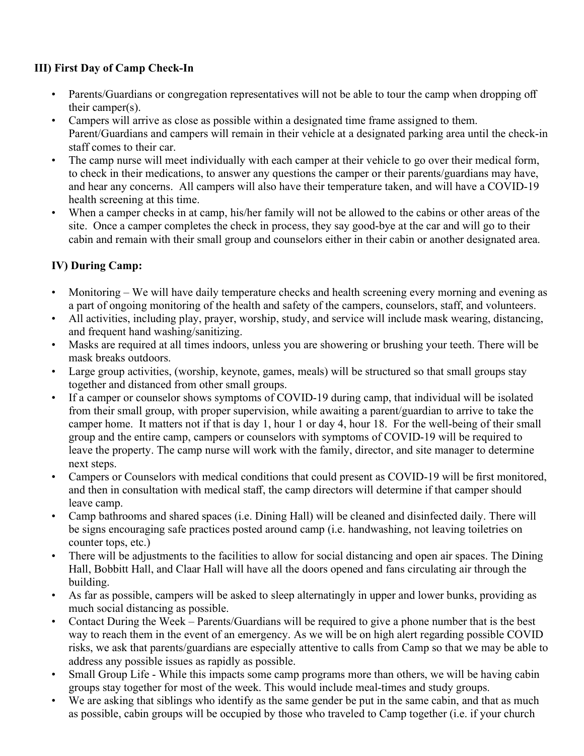## III) First Day of Camp Check-In

- Parents/Guardians or congregation representatives will not be able to tour the camp when dropping off their camper(s).
- Campers will arrive as close as possible within a designated time frame assigned to them. Parent/Guardians and campers will remain in their vehicle at a designated parking area until the check-in staff comes to their car.
- The camp nurse will meet individually with each camper at their vehicle to go over their medical form, to check in their medications, to answer any questions the camper or their parents/guardians may have, and hear any concerns. All campers will also have their temperature taken, and will have a COVID-19 health screening at this time.
- When a camper checks in at camp, his/her family will not be allowed to the cabins or other areas of the site. Once a camper completes the check in process, they say good-bye at the car and will go to their cabin and remain with their small group and counselors either in their cabin or another designated area.

## IV) During Camp:

- Monitoring We will have daily temperature checks and health screening every morning and evening as a part of ongoing monitoring of the health and safety of the campers, counselors, staff, and volunteers.
- All activities, including play, prayer, worship, study, and service will include mask wearing, distancing, and frequent hand washing/sanitizing.
- Masks are required at all times indoors, unless you are showering or brushing your teeth. There will be mask breaks outdoors.
- Large group activities, (worship, keynote, games, meals) will be structured so that small groups stay together and distanced from other small groups.
- If a camper or counselor shows symptoms of COVID-19 during camp, that individual will be isolated from their small group, with proper supervision, while awaiting a parent/guardian to arrive to take the camper home. It matters not if that is day 1, hour 1 or day 4, hour 18. For the well-being of their small group and the entire camp, campers or counselors with symptoms of COVID-19 will be required to leave the property. The camp nurse will work with the family, director, and site manager to determine next steps.
- Campers or Counselors with medical conditions that could present as COVID-19 will be first monitored, and then in consultation with medical staff, the camp directors will determine if that camper should leave camp.
- Camp bathrooms and shared spaces (i.e. Dining Hall) will be cleaned and disinfected daily. There will be signs encouraging safe practices posted around camp (i.e. handwashing, not leaving toiletries on counter tops, etc.)
- There will be adjustments to the facilities to allow for social distancing and open air spaces. The Dining Hall, Bobbitt Hall, and Claar Hall will have all the doors opened and fans circulating air through the building.
- As far as possible, campers will be asked to sleep alternatingly in upper and lower bunks, providing as much social distancing as possible.
- Contact During the Week Parents/Guardians will be required to give a phone number that is the best way to reach them in the event of an emergency. As we will be on high alert regarding possible COVID risks, we ask that parents/guardians are especially attentive to calls from Camp so that we may be able to address any possible issues as rapidly as possible.
- Small Group Life While this impacts some camp programs more than others, we will be having cabin groups stay together for most of the week. This would include meal-times and study groups.
- We are asking that siblings who identify as the same gender be put in the same cabin, and that as much as possible, cabin groups will be occupied by those who traveled to Camp together (i.e. if your church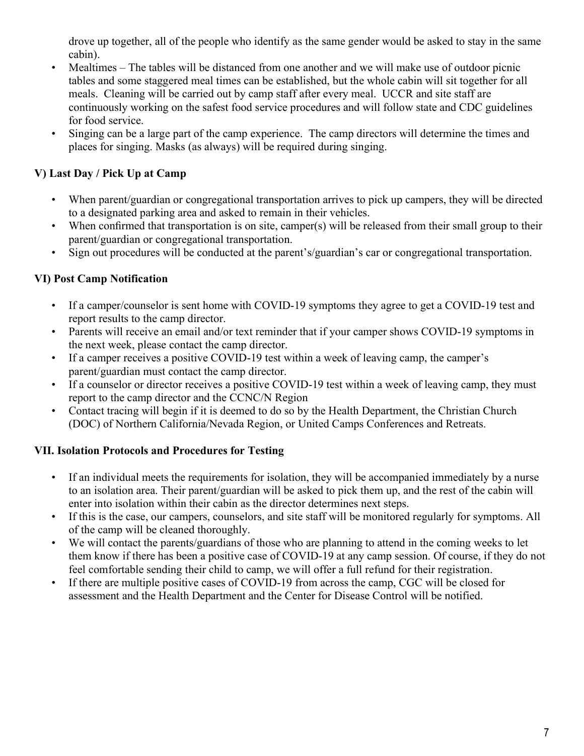drove up together, all of the people who identify as the same gender would be asked to stay in the same cabin).

- Mealtimes The tables will be distanced from one another and we will make use of outdoor picnic tables and some staggered meal times can be established, but the whole cabin will sit together for all meals. Cleaning will be carried out by camp staff after every meal. UCCR and site staff are continuously working on the safest food service procedures and will follow state and CDC guidelines for food service.
- Singing can be a large part of the camp experience. The camp directors will determine the times and places for singing. Masks (as always) will be required during singing.

# V) Last Day / Pick Up at Camp

- When parent/guardian or congregational transportation arrives to pick up campers, they will be directed to a designated parking area and asked to remain in their vehicles.
- When confirmed that transportation is on site, camper(s) will be released from their small group to their parent/guardian or congregational transportation.
- Sign out procedures will be conducted at the parent's/guardian's car or congregational transportation.

## VI) Post Camp Notification

- If a camper/counselor is sent home with COVID-19 symptoms they agree to get a COVID-19 test and report results to the camp director.
- Parents will receive an email and/or text reminder that if your camper shows COVID-19 symptoms in the next week, please contact the camp director.
- If a camper receives a positive COVID-19 test within a week of leaving camp, the camper's parent/guardian must contact the camp director.
- If a counselor or director receives a positive COVID-19 test within a week of leaving camp, they must report to the camp director and the CCNC/N Region
- Contact tracing will begin if it is deemed to do so by the Health Department, the Christian Church (DOC) of Northern California/Nevada Region, or United Camps Conferences and Retreats.

## VII. Isolation Protocols and Procedures for Testing

- If an individual meets the requirements for isolation, they will be accompanied immediately by a nurse to an isolation area. Their parent/guardian will be asked to pick them up, and the rest of the cabin will enter into isolation within their cabin as the director determines next steps.
- If this is the case, our campers, counselors, and site staff will be monitored regularly for symptoms. All of the camp will be cleaned thoroughly.
- We will contact the parents/guardians of those who are planning to attend in the coming weeks to let them know if there has been a positive case of COVID-19 at any camp session. Of course, if they do not feel comfortable sending their child to camp, we will offer a full refund for their registration.
- If there are multiple positive cases of COVID-19 from across the camp, CGC will be closed for assessment and the Health Department and the Center for Disease Control will be notified.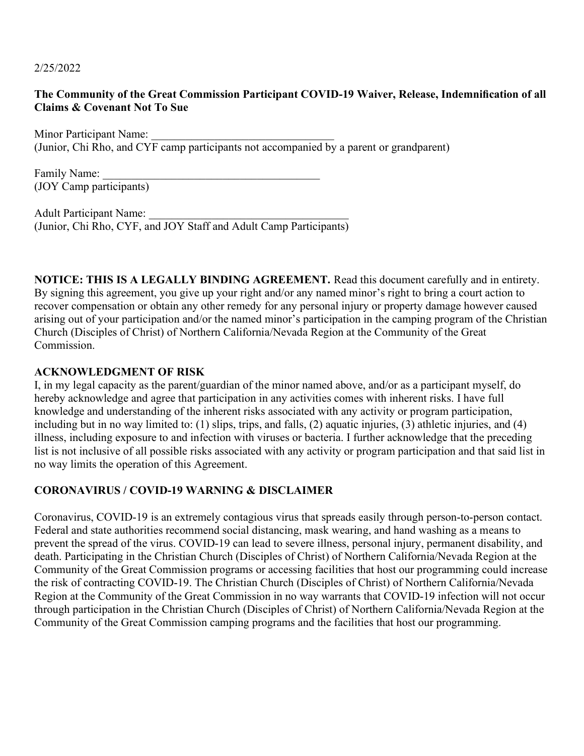2/25/2022

#### The Community of the Great Commission Participant COVID-19 Waiver, Release, Indemnification of all Claims & Covenant Not To Sue

Minor Participant Name: (Junior, Chi Rho, and CYF camp participants not accompanied by a parent or grandparent)

Family Name: (JOY Camp participants)

Adult Participant Name: (Junior, Chi Rho, CYF, and JOY Staff and Adult Camp Participants)

NOTICE: THIS IS A LEGALLY BINDING AGREEMENT. Read this document carefully and in entirety. By signing this agreement, you give up your right and/or any named minor's right to bring a court action to recover compensation or obtain any other remedy for any personal injury or property damage however caused arising out of your participation and/or the named minor's participation in the camping program of the Christian Church (Disciples of Christ) of Northern California/Nevada Region at the Community of the Great Commission.

#### ACKNOWLEDGMENT OF RISK

I, in my legal capacity as the parent/guardian of the minor named above, and/or as a participant myself, do hereby acknowledge and agree that participation in any activities comes with inherent risks. I have full knowledge and understanding of the inherent risks associated with any activity or program participation, including but in no way limited to: (1) slips, trips, and falls, (2) aquatic injuries, (3) athletic injuries, and (4) illness, including exposure to and infection with viruses or bacteria. I further acknowledge that the preceding list is not inclusive of all possible risks associated with any activity or program participation and that said list in no way limits the operation of this Agreement.

### CORONAVIRUS / COVID-19 WARNING & DISCLAIMER

Coronavirus, COVID-19 is an extremely contagious virus that spreads easily through person-to-person contact. Federal and state authorities recommend social distancing, mask wearing, and hand washing as a means to prevent the spread of the virus. COVID-19 can lead to severe illness, personal injury, permanent disability, and death. Participating in the Christian Church (Disciples of Christ) of Northern California/Nevada Region at the Community of the Great Commission programs or accessing facilities that host our programming could increase the risk of contracting COVID-19. The Christian Church (Disciples of Christ) of Northern California/Nevada Region at the Community of the Great Commission in no way warrants that COVID-19 infection will not occur through participation in the Christian Church (Disciples of Christ) of Northern California/Nevada Region at the Community of the Great Commission camping programs and the facilities that host our programming.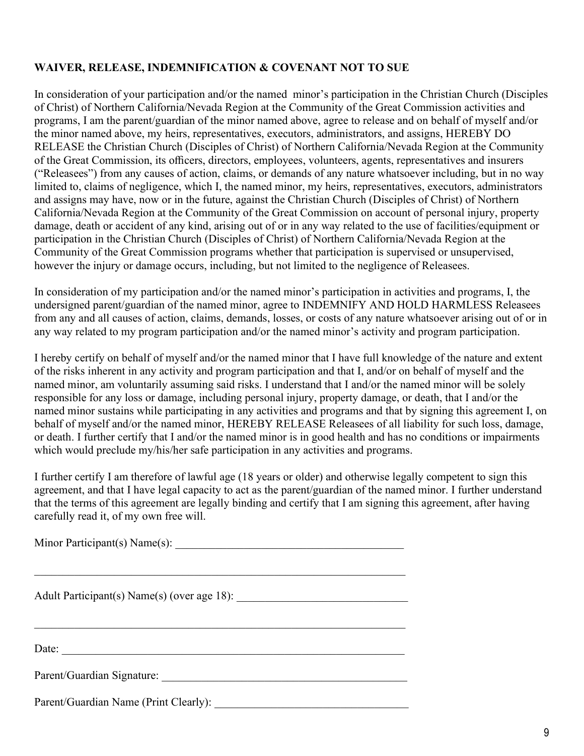## WAIVER, RELEASE, INDEMNIFICATION & COVENANT NOT TO SUE

In consideration of your participation and/or the named minor's participation in the Christian Church (Disciples of Christ) of Northern California/Nevada Region at the Community of the Great Commission activities and programs, I am the parent/guardian of the minor named above, agree to release and on behalf of myself and/or the minor named above, my heirs, representatives, executors, administrators, and assigns, HEREBY DO RELEASE the Christian Church (Disciples of Christ) of Northern California/Nevada Region at the Community of the Great Commission, its officers, directors, employees, volunteers, agents, representatives and insurers ("Releasees") from any causes of action, claims, or demands of any nature whatsoever including, but in no way limited to, claims of negligence, which I, the named minor, my heirs, representatives, executors, administrators and assigns may have, now or in the future, against the Christian Church (Disciples of Christ) of Northern California/Nevada Region at the Community of the Great Commission on account of personal injury, property damage, death or accident of any kind, arising out of or in any way related to the use of facilities/equipment or participation in the Christian Church (Disciples of Christ) of Northern California/Nevada Region at the Community of the Great Commission programs whether that participation is supervised or unsupervised, however the injury or damage occurs, including, but not limited to the negligence of Releasees.

In consideration of my participation and/or the named minor's participation in activities and programs, I, the undersigned parent/guardian of the named minor, agree to INDEMNIFY AND HOLD HARMLESS Releasees from any and all causes of action, claims, demands, losses, or costs of any nature whatsoever arising out of or in any way related to my program participation and/or the named minor's activity and program participation.

I hereby certify on behalf of myself and/or the named minor that I have full knowledge of the nature and extent of the risks inherent in any activity and program participation and that I, and/or on behalf of myself and the named minor, am voluntarily assuming said risks. I understand that I and/or the named minor will be solely responsible for any loss or damage, including personal injury, property damage, or death, that I and/or the named minor sustains while participating in any activities and programs and that by signing this agreement I, on behalf of myself and/or the named minor, HEREBY RELEASE Releasees of all liability for such loss, damage, or death. I further certify that I and/or the named minor is in good health and has no conditions or impairments which would preclude my/his/her safe participation in any activities and programs.

I further certify I am therefore of lawful age (18 years or older) and otherwise legally competent to sign this agreement, and that I have legal capacity to act as the parent/guardian of the named minor. I further understand that the terms of this agreement are legally binding and certify that I am signing this agreement, after having carefully read it, of my own free will.

| Date:                                 |  |  |
|---------------------------------------|--|--|
| Parent/Guardian Signature:            |  |  |
| Parent/Guardian Name (Print Clearly): |  |  |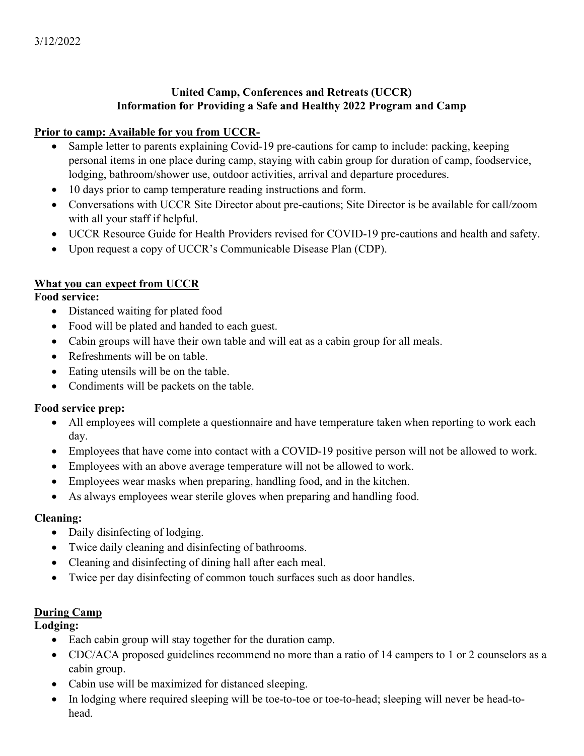## United Camp, Conferences and Retreats (UCCR) Information for Providing a Safe and Healthy 2022 Program and Camp

### Prior to camp: Available for you from UCCR-

- Sample letter to parents explaining Covid-19 pre-cautions for camp to include: packing, keeping personal items in one place during camp, staying with cabin group for duration of camp, foodservice, lodging, bathroom/shower use, outdoor activities, arrival and departure procedures.
- 10 days prior to camp temperature reading instructions and form.
- Conversations with UCCR Site Director about pre-cautions; Site Director is be available for call/zoom with all your staff if helpful.
- UCCR Resource Guide for Health Providers revised for COVID-19 pre-cautions and health and safety.
- Upon request a copy of UCCR's Communicable Disease Plan (CDP).

## What you can expect from UCCR

### Food service:

- Distanced waiting for plated food
- Food will be plated and handed to each guest.
- Cabin groups will have their own table and will eat as a cabin group for all meals.
- Refreshments will be on table.
- Eating utensils will be on the table.
- Condiments will be packets on the table.

## Food service prep:

- All employees will complete a questionnaire and have temperature taken when reporting to work each day.
- Employees that have come into contact with a COVID-19 positive person will not be allowed to work.
- Employees with an above average temperature will not be allowed to work.
- Employees wear masks when preparing, handling food, and in the kitchen.
- As always employees wear sterile gloves when preparing and handling food.

## Cleaning:

- Daily disinfecting of lodging.
- Twice daily cleaning and disinfecting of bathrooms.
- Cleaning and disinfecting of dining hall after each meal.
- Twice per day disinfecting of common touch surfaces such as door handles.

## **During Camp**

Lodging:

- Each cabin group will stay together for the duration camp.
- CDC/ACA proposed guidelines recommend no more than a ratio of 14 campers to 1 or 2 counselors as a cabin group.
- Cabin use will be maximized for distanced sleeping.
- In lodging where required sleeping will be toe-to-toe or toe-to-head; sleeping will never be head-tohead.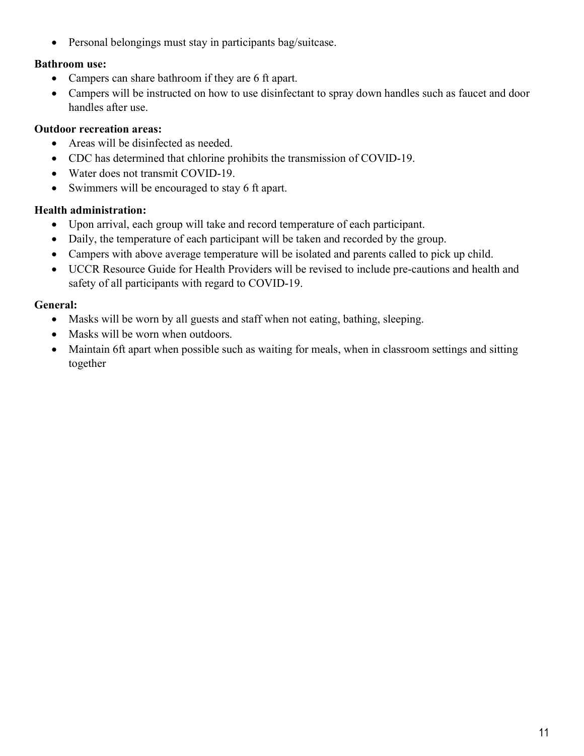• Personal belongings must stay in participants bag/suitcase.

### Bathroom use:

- Campers can share bathroom if they are 6 ft apart.
- Campers will be instructed on how to use disinfectant to spray down handles such as faucet and door handles after use.

## Outdoor recreation areas:

- Areas will be disinfected as needed.
- CDC has determined that chlorine prohibits the transmission of COVID-19.
- Water does not transmit COVID-19.
- Swimmers will be encouraged to stay 6 ft apart.

## Health administration:

- Upon arrival, each group will take and record temperature of each participant.
- Daily, the temperature of each participant will be taken and recorded by the group.
- Campers with above average temperature will be isolated and parents called to pick up child.
- UCCR Resource Guide for Health Providers will be revised to include pre-cautions and health and safety of all participants with regard to COVID-19.

## General:

- Masks will be worn by all guests and staff when not eating, bathing, sleeping.
- Masks will be worn when outdoors.
- Maintain 6ft apart when possible such as waiting for meals, when in classroom settings and sitting together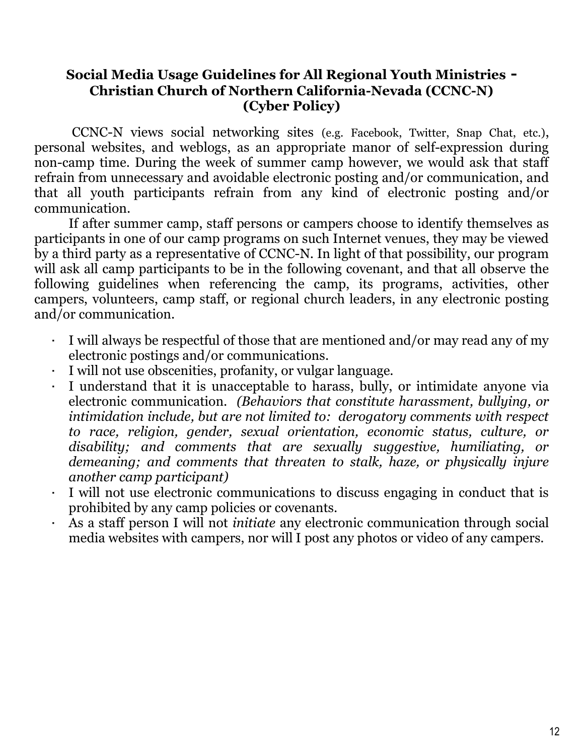# Social Media Usage Guidelines for All Regional Youth Ministries - Christian Church of Northern California-Nevada (CCNC-N) (Cyber Policy)

 CCNC-N views social networking sites (e.g. Facebook, Twitter, Snap Chat, etc.), personal websites, and weblogs, as an appropriate manor of self-expression during non-camp time. During the week of summer camp however, we would ask that staff refrain from unnecessary and avoidable electronic posting and/or communication, and that all youth participants refrain from any kind of electronic posting and/or communication.

If after summer camp, staff persons or campers choose to identify themselves as participants in one of our camp programs on such Internet venues, they may be viewed by a third party as a representative of CCNC-N. In light of that possibility, our program will ask all camp participants to be in the following covenant, and that all observe the following guidelines when referencing the camp, its programs, activities, other campers, volunteers, camp staff, or regional church leaders, in any electronic posting and/or communication.

- I will always be respectful of those that are mentioned and/or may read any of my electronic postings and/or communications.
- I will not use obscenities, profanity, or vulgar language.
- I understand that it is unacceptable to harass, bully, or intimidate anyone via electronic communication. (Behaviors that constitute harassment, bullying, or intimidation include, but are not limited to: derogatory comments with respect to race, religion, gender, sexual orientation, economic status, culture, or disability; and comments that are sexually suggestive, humiliating, or demeaning; and comments that threaten to stalk, haze, or physically injure another camp participant)
- I will not use electronic communications to discuss engaging in conduct that is prohibited by any camp policies or covenants.
- As a staff person I will not initiate any electronic communication through social media websites with campers, nor will I post any photos or video of any campers.